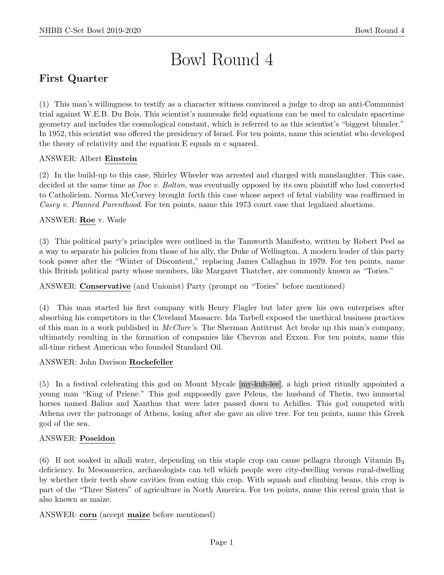# Bowl Round 4

# First Quarter

(1) This man's willingness to testify as a character witness convinced a judge to drop an anti-Communist trial against W.E.B. Du Bois. This scientist's namesake field equations can be used to calculate spacetime geometry and includes the cosmological constant, which is referred to as this scientist's "biggest blunder." In 1952, this scientist was offered the presidency of Israel. For ten points, name this scientist who developed the theory of relativity and the equation E equals m c squared.

# ANSWER: Albert Einstein

(2) In the build-up to this case, Shirley Wheeler was arrested and charged with manslaughter. This case, decided at the same time as *Doe v. Bolton*, was eventually opposed by its own plaintiff who had converted to Catholicism. Norma McCorvey brought forth this case whose aspect of fetal viability was reaffirmed in Casey v. Planned Parenthood. For ten points, name this 1973 court case that legalized abortions.

# ANSWER: Roe v. Wade

(3) This political party's principles were outlined in the Tamworth Manifesto, written by Robert Peel as a way to separate his policies from those of his ally, the Duke of Wellington. A modern leader of this party took power after the "Winter of Discontent," replacing James Callaghan in 1979. For ten points, name this British political party whose members, like Margaret Thatcher, are commonly known as "Tories."

ANSWER: Conservative (and Unionist) Party (prompt on "Tories" before mentioned)

(4) This man started his first company with Henry Flagler but later grew his own enterprises after absorbing his competitors in the Cleveland Massacre. Ida Tarbell exposed the unethical business practices of this man in a work published in McClure's. The Sherman Antitrust Act broke up this man's company, ultimately resulting in the formation of companies like Chevron and Exxon. For ten points, name this all-time richest American who founded Standard Oil.

ANSWER: John Davison Rockefeller

(5) In a festival celebrating this god on Mount Mycale [my-kuh-lee], a high priest ritually appointed a young man "King of Priene." This god supposedly gave Peleus, the husband of Thetis, two immortal horses named Balius and Xanthus that were later passed down to Achilles. This god competed with Athena over the patronage of Athens, losing after she gave an olive tree. For ten points, name this Greek god of the sea.

# ANSWER: Poseidon

(6) If not soaked in alkali water, depending on this staple crop can cause pellagra through Vitamin  $B_3$ deficiency. In Mesoamerica, archaeologists can tell which people were city-dwelling versus rural-dwelling by whether their teeth show cavities from eating this crop. With squash and climbing beans, this crop is part of the "Three Sisters" of agriculture in North America. For ten points, name this cereal grain that is also known as maize.

ANSWER: corn (accept maize before mentioned)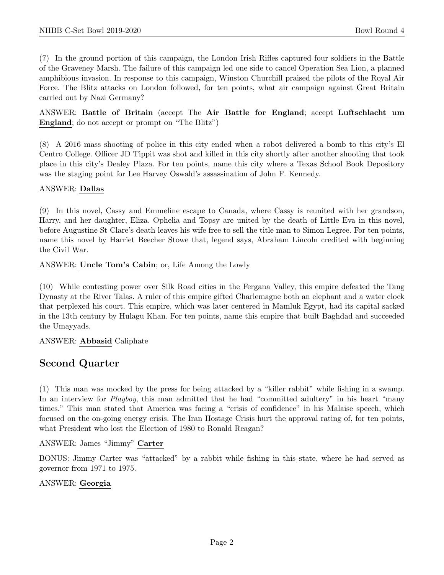(7) In the ground portion of this campaign, the London Irish Rifles captured four soldiers in the Battle of the Graveney Marsh. The failure of this campaign led one side to cancel Operation Sea Lion, a planned amphibious invasion. In response to this campaign, Winston Churchill praised the pilots of the Royal Air Force. The Blitz attacks on London followed, for ten points, what air campaign against Great Britain carried out by Nazi Germany?

ANSWER: Battle of Britain (accept The Air Battle for England; accept Luftschlacht um England; do not accept or prompt on "The Blitz")

(8) A 2016 mass shooting of police in this city ended when a robot delivered a bomb to this city's El Centro College. Officer JD Tippit was shot and killed in this city shortly after another shooting that took place in this city's Dealey Plaza. For ten points, name this city where a Texas School Book Depository was the staging point for Lee Harvey Oswald's assassination of John F. Kennedy.

# ANSWER: Dallas

(9) In this novel, Cassy and Emmeline escape to Canada, where Cassy is reunited with her grandson, Harry, and her daughter, Eliza. Ophelia and Topsy are united by the death of Little Eva in this novel, before Augustine St Clare's death leaves his wife free to sell the title man to Simon Legree. For ten points, name this novel by Harriet Beecher Stowe that, legend says, Abraham Lincoln credited with beginning the Civil War.

ANSWER: Uncle Tom's Cabin; or, Life Among the Lowly

(10) While contesting power over Silk Road cities in the Fergana Valley, this empire defeated the Tang Dynasty at the River Talas. A ruler of this empire gifted Charlemagne both an elephant and a water clock that perplexed his court. This empire, which was later centered in Mamluk Egypt, had its capital sacked in the 13th century by Hulagu Khan. For ten points, name this empire that built Baghdad and succeeded the Umayyads.

# ANSWER: Abbasid Caliphate

# Second Quarter

(1) This man was mocked by the press for being attacked by a "killer rabbit" while fishing in a swamp. In an interview for *Playboy*, this man admitted that he had "committed adultery" in his heart "many times." This man stated that America was facing a "crisis of confidence" in his Malaise speech, which focused on the on-going energy crisis. The Iran Hostage Crisis hurt the approval rating of, for ten points, what President who lost the Election of 1980 to Ronald Reagan?

ANSWER: James "Jimmy" Carter

BONUS: Jimmy Carter was "attacked" by a rabbit while fishing in this state, where he had served as governor from 1971 to 1975.

#### ANSWER: Georgia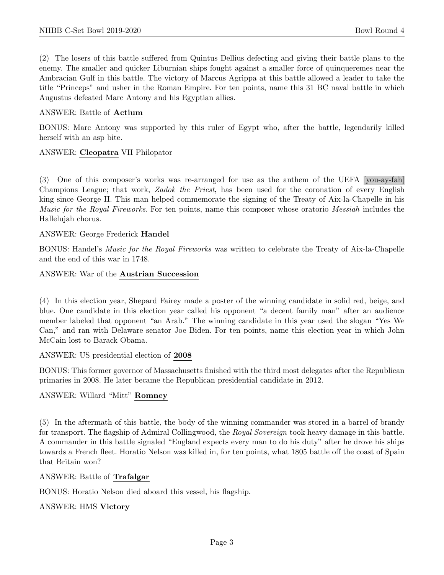(2) The losers of this battle suffered from Quintus Dellius defecting and giving their battle plans to the enemy. The smaller and quicker Liburnian ships fought against a smaller force of quinqueremes near the Ambracian Gulf in this battle. The victory of Marcus Agrippa at this battle allowed a leader to take the title "Princeps" and usher in the Roman Empire. For ten points, name this 31 BC naval battle in which Augustus defeated Marc Antony and his Egyptian allies.

## ANSWER: Battle of Actium

BONUS: Marc Antony was supported by this ruler of Egypt who, after the battle, legendarily killed herself with an asp bite.

## ANSWER: Cleopatra VII Philopator

(3) One of this composer's works was re-arranged for use as the anthem of the UEFA [you-ay-fah] Champions League; that work, Zadok the Priest, has been used for the coronation of every English king since George II. This man helped commemorate the signing of the Treaty of Aix-la-Chapelle in his Music for the Royal Fireworks. For ten points, name this composer whose oratorio Messiah includes the Hallelujah chorus.

## ANSWER: George Frederick Handel

BONUS: Handel's Music for the Royal Fireworks was written to celebrate the Treaty of Aix-la-Chapelle and the end of this war in 1748.

#### ANSWER: War of the Austrian Succession

(4) In this election year, Shepard Fairey made a poster of the winning candidate in solid red, beige, and blue. One candidate in this election year called his opponent "a decent family man" after an audience member labeled that opponent "an Arab." The winning candidate in this year used the slogan "Yes We Can," and ran with Delaware senator Joe Biden. For ten points, name this election year in which John McCain lost to Barack Obama.

ANSWER: US presidential election of 2008

BONUS: This former governor of Massachusetts finished with the third most delegates after the Republican primaries in 2008. He later became the Republican presidential candidate in 2012.

ANSWER: Willard "Mitt" Romney

(5) In the aftermath of this battle, the body of the winning commander was stored in a barrel of brandy for transport. The flagship of Admiral Collingwood, the Royal Sovereign took heavy damage in this battle. A commander in this battle signaled "England expects every man to do his duty" after he drove his ships towards a French fleet. Horatio Nelson was killed in, for ten points, what 1805 battle off the coast of Spain that Britain won?

ANSWER: Battle of Trafalgar

BONUS: Horatio Nelson died aboard this vessel, his flagship.

ANSWER: HMS Victory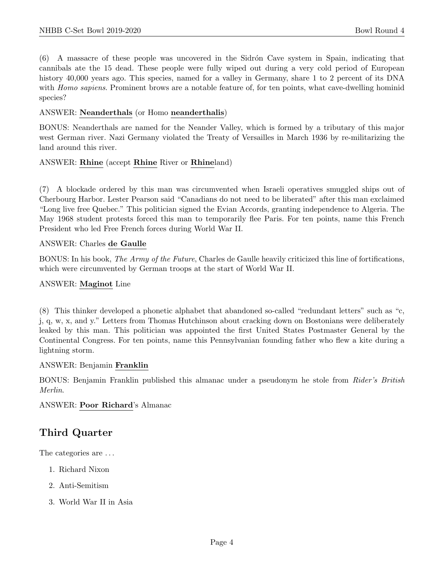(6) A massacre of these people was uncovered in the Sidr´on Cave system in Spain, indicating that cannibals ate the 15 dead. These people were fully wiped out during a very cold period of European history 40,000 years ago. This species, named for a valley in Germany, share 1 to 2 percent of its DNA with *Homo sapiens*. Prominent brows are a notable feature of, for ten points, what cave-dwelling hominid species?

#### ANSWER: Neanderthals (or Homo neanderthalis)

BONUS: Neanderthals are named for the Neander Valley, which is formed by a tributary of this major west German river. Nazi Germany violated the Treaty of Versailles in March 1936 by re-militarizing the land around this river.

## ANSWER: Rhine (accept Rhine River or Rhineland)

(7) A blockade ordered by this man was circumvented when Israeli operatives smuggled ships out of Cherbourg Harbor. Lester Pearson said "Canadians do not need to be liberated" after this man exclaimed "Long live free Quebec." This politician signed the Evian Accords, granting independence to Algeria. The May 1968 student protests forced this man to temporarily flee Paris. For ten points, name this French President who led Free French forces during World War II.

## ANSWER: Charles de Gaulle

BONUS: In his book, The Army of the Future, Charles de Gaulle heavily criticized this line of fortifications, which were circumvented by German troops at the start of World War II.

#### ANSWER: Maginot Line

(8) This thinker developed a phonetic alphabet that abandoned so-called "redundant letters" such as "c, j, q, w, x, and y." Letters from Thomas Hutchinson about cracking down on Bostonians were deliberately leaked by this man. This politician was appointed the first United States Postmaster General by the Continental Congress. For ten points, name this Pennsylvanian founding father who flew a kite during a lightning storm.

#### ANSWER: Benjamin Franklin

BONUS: Benjamin Franklin published this almanac under a pseudonym he stole from Rider's British Merlin.

#### ANSWER: Poor Richard's Almanac

# Third Quarter

The categories are  $\dots$ 

- 1. Richard Nixon
- 2. Anti-Semitism
- 3. World War II in Asia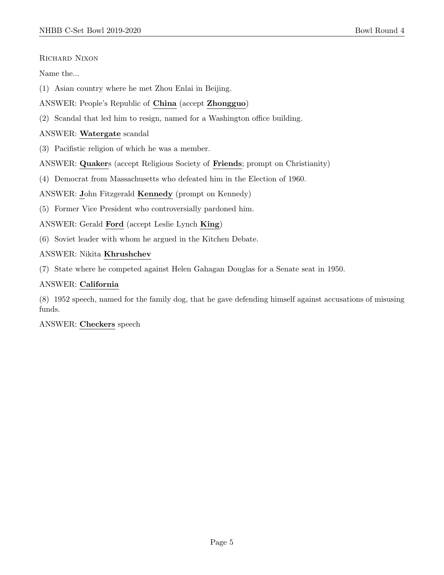## RICHARD NIXON

## Name the...

- (1) Asian country where he met Zhou Enlai in Beijing.
- ANSWER: People's Republic of China (accept Zhongguo)
- (2) Scandal that led him to resign, named for a Washington office building.

# ANSWER: Watergate scandal

- (3) Pacifistic religion of which he was a member.
- ANSWER: Quakers (accept Religious Society of Friends; prompt on Christianity)
- (4) Democrat from Massachusetts who defeated him in the Election of 1960.

ANSWER: John Fitzgerald Kennedy (prompt on Kennedy)

- (5) Former Vice President who controversially pardoned him.
- ANSWER: Gerald Ford (accept Leslie Lynch King)
- (6) Soviet leader with whom he argued in the Kitchen Debate.

# ANSWER: Nikita Khrushchev

(7) State where he competed against Helen Gahagan Douglas for a Senate seat in 1950.

## ANSWER: California

(8) 1952 speech, named for the family dog, that he gave defending himself against accusations of misusing funds.

#### ANSWER: Checkers speech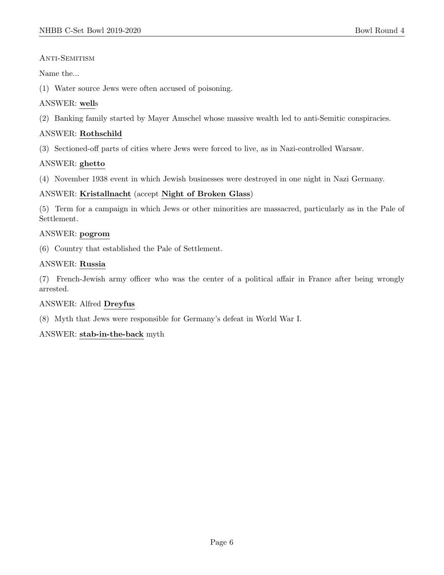# ANTI-SEMITISM

# Name the...

(1) Water source Jews were often accused of poisoning.

# ANSWER: wells

(2) Banking family started by Mayer Amschel whose massive wealth led to anti-Semitic conspiracies.

# ANSWER: Rothschild

(3) Sectioned-off parts of cities where Jews were forced to live, as in Nazi-controlled Warsaw.

# ANSWER: ghetto

(4) November 1938 event in which Jewish businesses were destroyed in one night in Nazi Germany.

# ANSWER: Kristallnacht (accept Night of Broken Glass)

(5) Term for a campaign in which Jews or other minorities are massacred, particularly as in the Pale of Settlement.

# ANSWER: pogrom

(6) Country that established the Pale of Settlement.

# ANSWER: Russia

(7) French-Jewish army officer who was the center of a political affair in France after being wrongly arrested.

# ANSWER: Alfred Dreyfus

(8) Myth that Jews were responsible for Germany's defeat in World War I.

# ANSWER: stab-in-the-back myth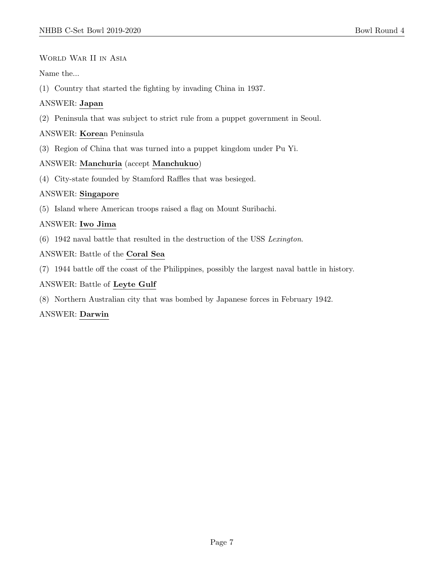World War II in Asia

Name the...

(1) Country that started the fighting by invading China in 1937.

# ANSWER: Japan

(2) Peninsula that was subject to strict rule from a puppet government in Seoul.

# ANSWER: Korean Peninsula

(3) Region of China that was turned into a puppet kingdom under Pu Yi.

# ANSWER: Manchuria (accept Manchukuo)

(4) City-state founded by Stamford Raffles that was besieged.

# ANSWER: Singapore

(5) Island where American troops raised a flag on Mount Suribachi.

# ANSWER: Iwo Jima

(6) 1942 naval battle that resulted in the destruction of the USS Lexington.

# ANSWER: Battle of the Coral Sea

(7) 1944 battle off the coast of the Philippines, possibly the largest naval battle in history.

## ANSWER: Battle of Leyte Gulf

(8) Northern Australian city that was bombed by Japanese forces in February 1942.

# ANSWER: Darwin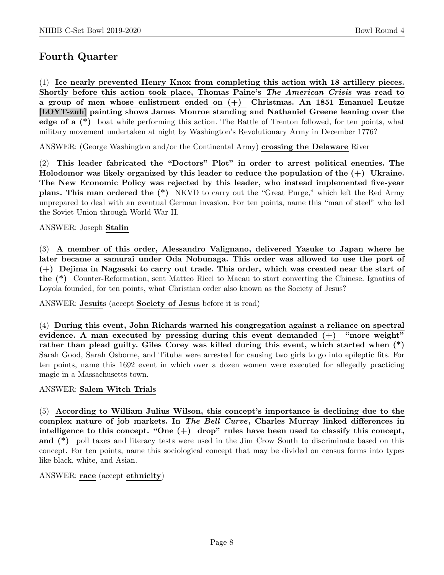# Fourth Quarter

(1) Ice nearly prevented Henry Knox from completing this action with 18 artillery pieces. Shortly before this action took place, Thomas Paine's The American Crisis was read to a group of men whose enlistment ended on (+) Christmas. An 1851 Emanuel Leutze [LOYT-zuh] painting shows James Monroe standing and Nathaniel Greene leaning over the edge of a (\*) boat while performing this action. The Battle of Trenton followed, for ten points, what military movement undertaken at night by Washington's Revolutionary Army in December 1776?

ANSWER: (George Washington and/or the Continental Army) crossing the Delaware River

(2) This leader fabricated the "Doctors" Plot" in order to arrest political enemies. The Holodomor was likely organized by this leader to reduce the population of the  $(+)$  Ukraine. The New Economic Policy was rejected by this leader, who instead implemented five-year plans. This man ordered the (\*) NKVD to carry out the "Great Purge," which left the Red Army unprepared to deal with an eventual German invasion. For ten points, name this "man of steel" who led the Soviet Union through World War II.

ANSWER: Joseph Stalin

(3) A member of this order, Alessandro Valignano, delivered Yasuke to Japan where he later became a samurai under Oda Nobunaga. This order was allowed to use the port of (+) Dejima in Nagasaki to carry out trade. This order, which was created near the start of the (\*) Counter-Reformation, sent Matteo Ricci to Macau to start converting the Chinese. Ignatius of Loyola founded, for ten points, what Christian order also known as the Society of Jesus?

ANSWER: Jesuits (accept Society of Jesus before it is read)

(4) During this event, John Richards warned his congregation against a reliance on spectral evidence. A man executed by pressing during this event demanded  $(+)$  "more weight" rather than plead guilty. Giles Corey was killed during this event, which started when (\*) Sarah Good, Sarah Osborne, and Tituba were arrested for causing two girls to go into epileptic fits. For ten points, name this 1692 event in which over a dozen women were executed for allegedly practicing magic in a Massachusetts town.

# ANSWER: Salem Witch Trials

(5) According to William Julius Wilson, this concept's importance is declining due to the complex nature of job markets. In The Bell Curve, Charles Murray linked differences in intelligence to this concept. "One  $(+)$  drop" rules have been used to classify this concept, and (\*) poll taxes and literacy tests were used in the Jim Crow South to discriminate based on this concept. For ten points, name this sociological concept that may be divided on census forms into types like black, white, and Asian.

ANSWER: race (accept ethnicity)